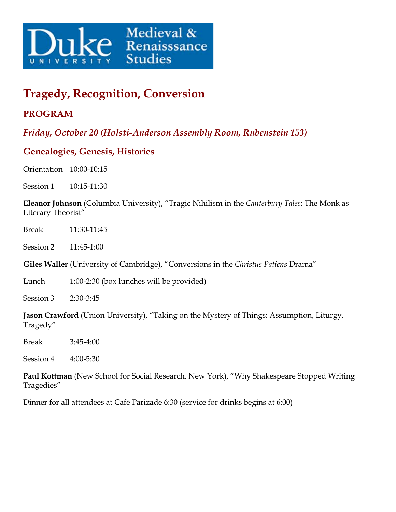

# **Tragedy, Recognition, Conversion**

## **PROGRAM**

*Friday, October 20 (Holsti-Anderson Assembly Room, Rubenstein 153)*

### **Genealogies, Genesis, Histories**

Orientation 10:00-10:15

Session 1 10:15-11:30

**Eleanor Johnson** (Columbia University), "Tragic Nihilism in the *Canterbury Tales*: The Monk as Literary Theorist"

Break 11:30-11:45

Session 2 11:45-1:00

**Giles Waller** (University of Cambridge), "Conversions in the *Christus Patiens* Drama"

Lunch 1:00-2:30 (box lunches will be provided)

Session 3 2:30-3:45

**Jason Crawford** (Union University), "Taking on the Mystery of Things: Assumption, Liturgy, Tragedy"

Break 3:45-4:00

Session 4 4:00-5:30

**Paul Kottman** (New School for Social Research, New York), "Why Shakespeare Stopped Writing Tragedies"

Dinner for all attendees at Café Parizade 6:30 (service for drinks begins at 6:00)